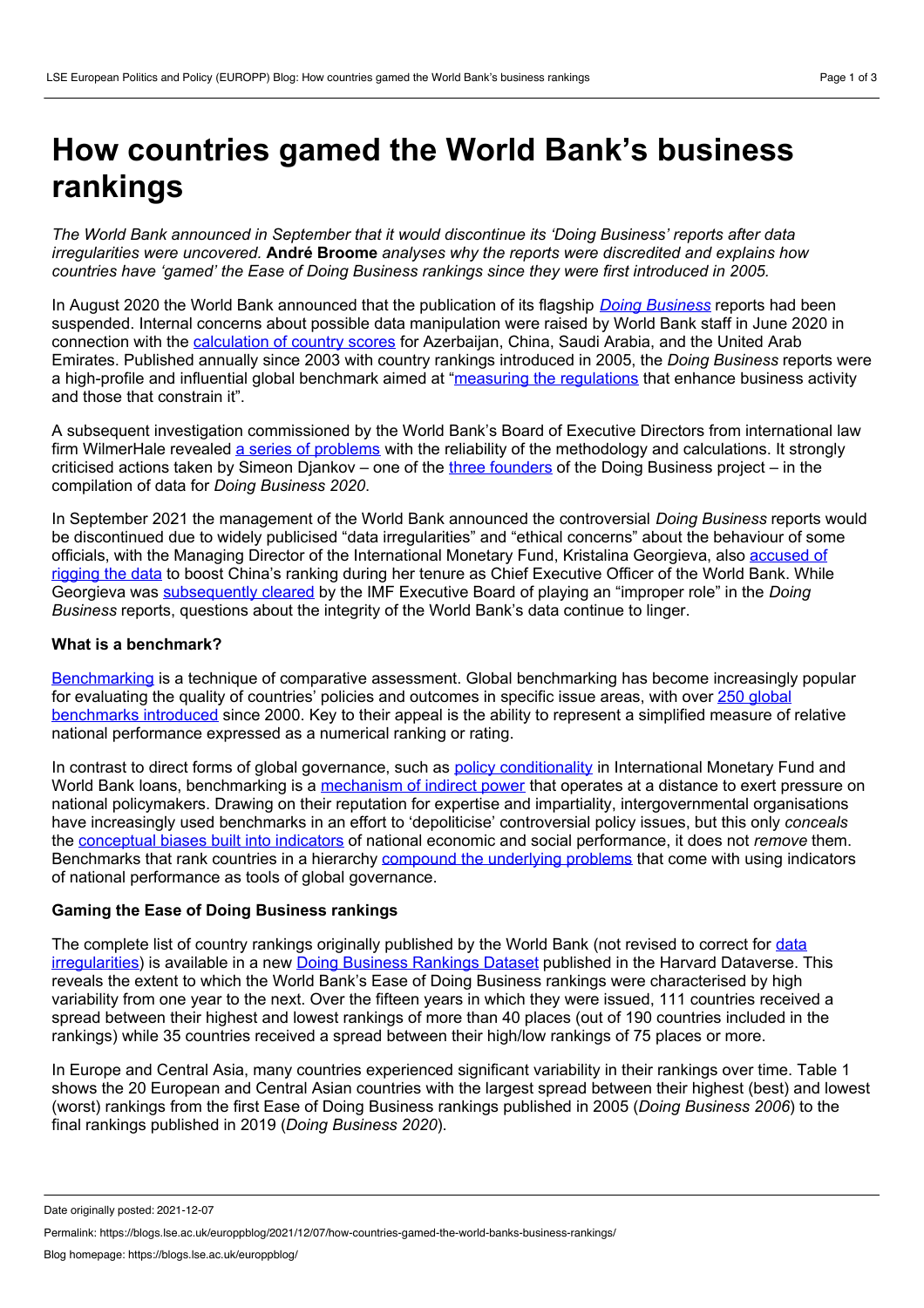# **How countries gamed the World Bank's business rankings**

*The World Bank announced in September that it would discontinue its 'Doing Business' reports after data irregularities were uncovered.* **André Broome** *analyses why the reports were discredited and explains how countries have 'gamed' the Ease of Doing Business rankings since they were first introduced in 2005.*

In August 2020 the World Bank announced that the publication of its flagship *Doing [Business](https://www.doingbusiness.org/)* reports had been suspended. Internal concerns about possible data manipulation were raised by World Bank staff in June 2020 in connection with the [calculation](https://thedocs.worldbank.org/en/doc/791761608145561083-0050022020/original/DBDataIrregularitiesReviewDec2020.pdf) of country scores for Azerbaijan, China, Saudi Arabia, and the United Arab Emirates. Published annually since 2003 with country rankings introduced in 2005, the *Doing Business* reports were a high-profile and influential global benchmark aimed at "measuring the [regulations](https://www.doingbusiness.org/en/reports/global-reports/doing-business-2020) that enhance business activity and those that constrain it".

A subsequent investigation commissioned by the World Bank's Board of Executive Directors from international law firm WilmerHale revealed a series of [problems](https://thedocs.worldbank.org/en/doc/84a922cc9273b7b120d49ad3b9e9d3f9-0090012021/original/DB-Investigation-Findings-and-Report-to-the-Board-of-Executive-Directors-September-15-2021.pdf) with the reliability of the methodology and calculations. It strongly criticised actions taken by Simeon Djankov – one of the three [founders](https://www.doingbusiness.org/en/about-us/founders) of the Doing Business project – in the compilation of data for *Doing Business 2020*.

In September 2021 the management of the World Bank announced the controversial *Doing Business* reports would be discontinued due to widely publicised "data irregularities" and "ethical concerns" about the behaviour of some officials, with the Managing Director of the [International](https://www.nytimes.com/2021/09/16/business/world-bank-Kristalina-Georgieva.html) Monetary Fund, Kristalina Georgieva, also accused of rigging the data to boost China's ranking during her tenure as Chief Executive Officer of the World Bank. While Georgieva was [subsequently](https://www.imf.org/en/News/Articles/2021/10/12/pr21297-statement-by-imf-exec-board-on-its-review-on-investigation-of-wb-doing-business-2018-report) cleared by the IMF Executive Board of playing an "improper role" in the *Doing Business* reports, questions about the integrity of the World Bank's data continue to linger.

# **What is a benchmark?**

[Benchmarking](http://i-peel.org/homepage/benchmarks/) is a technique of comparative assessment. Global benchmarking has become increasingly popular for evaluating the quality of countries' policies and outcomes in specific issue areas, with over 250 global [benchmarks](https://warwick.ac.uk/globalbenchmarking/database) introduced since 2000. Key to their appeal is the ability to represent a simplified measure of relative national performance expressed as a numerical ranking or rating.

In contrast to direct forms of global governance, such as policy [conditionality](https://www.washingtonpost.com/politics/2021/04/16/people-have-long-predicted-collapse-washington-consensus-it-keeps-reappearing-under-new-guises/) in International Monetary Fund and World Bank loans, benchmarking is a [mechanism](https://doi.org/10.1177%252F1354066117719320) of indirect power that operates at a distance to exert pressure on national policymakers. Drawing on their reputation for expertise and impartiality, intergovernmental organisations have increasingly used benchmarks in an effort to 'depoliticise' controversial policy issues, but this only *conceals* the [conceptual](https://www.policycorner.org/en/2018/02/26/the-dangerous-depoliticization-of-economic-numbers/) biases built into indicators of national economic and social performance, it does not *remove* them. Benchmarks that rank countries in a hierarchy [compound](https://www.opendemocracy.net/en/beyond-trafficking-and-slavery/403-million-slaves-four-reasons-to-question-new-global-estimates-of-moder/) the underlying problems that come with using indicators of national performance as tools of global governance.

## **Gaming the Ease of Doing Business rankings**

The complete list of country rankings originally published by the World Bank (not revised to correct for data [irregularities\)](https://www.doingbusiness.org/content/dam/doingBusiness/excel/db2020/Historical-data---COMPLETE-dataset-with-scores.xlsx) is available in a new Doing Business [Rankings](https://doi.org/10.7910/DVN/UVSSNN) Dataset published in the Harvard Dataverse. This reveals the extent to which the World Bank's Ease of Doing Business rankings were characterised by high variability from one year to the next. Over the fifteen years in which they were issued, 111 countries received a spread between their highest and lowest rankings of more than 40 places (out of 190 countries included in the rankings) while 35 countries received a spread between their high/low rankings of 75 places or more.

In Europe and Central Asia, many countries experienced significant variability in their rankings over time. Table 1 shows the 20 European and Central Asian countries with the largest spread between their highest (best) and lowest (worst) rankings from the first Ease of Doing Business rankings published in 2005 (*Doing Business 2006*) to the final rankings published in 2019 (*Doing Business 2020*).

Date originally posted: 2021-12-07

Permalink: https://blogs.lse.ac.uk/europpblog/2021/12/07/how-countries-gamed-the-world-banks-business-rankings/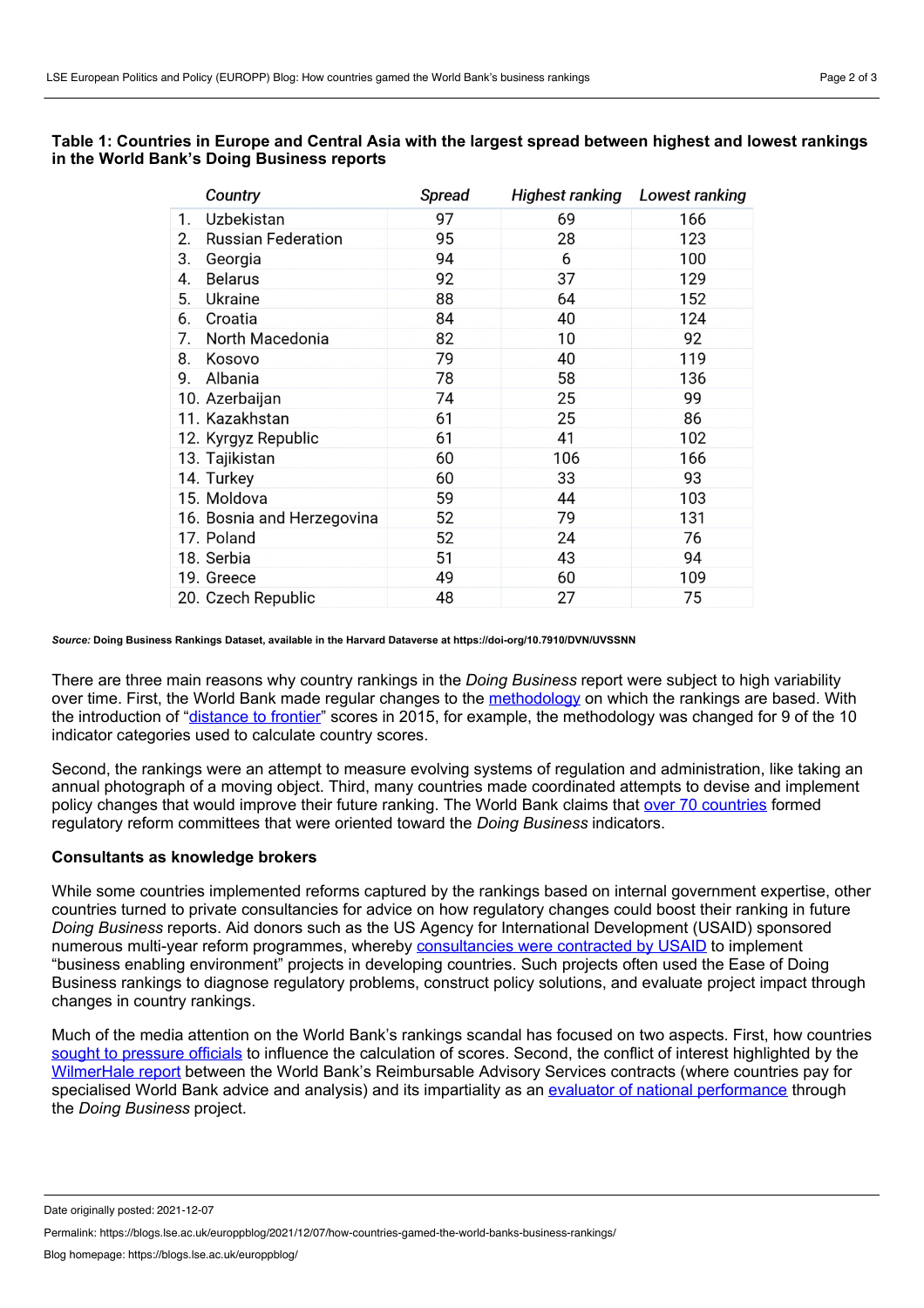| Country                         | Spread | Highest ranking | Lowest ranking |
|---------------------------------|--------|-----------------|----------------|
| Uzbekistan<br>1.                | 97     | 69              | 166            |
| 2.<br><b>Russian Federation</b> | 95     | 28              | 123            |
| 3.<br>Georgia                   | 94     | 6               | 100            |
| <b>Belarus</b><br>4.            | 92     | 37              | 129            |
| 5.<br>Ukraine                   | 88     | 64              | 152            |
| Croatia<br>6.                   | 84     | 40              | 124            |
| 7.<br>North Macedonia           | 82     | 10              | 92             |
| 8.<br>Kosovo                    | 79     | 40              | 119            |
| 9.<br>Albania                   | 78     | 58              | 136            |
| 10. Azerbaijan                  | 74     | 25              | 99             |
| 11. Kazakhstan                  | 61     | 25              | 86             |
| 12. Kyrgyz Republic             | 61     | 41              | 102            |
| 13. Tajikistan                  | 60     | 106             | 166            |
| 14. Turkey                      | 60     | 33              | 93             |
| 15. Moldova                     | 59     | 44              | 103            |
| 16. Bosnia and Herzegovina      | 52     | 79              | 131            |
| 17. Poland                      | 52     | 24              | 76             |
| 18. Serbia                      | 51     | 43              | 94             |
| 19. Greece                      | 49     | 60              | 109            |
| 20. Czech Republic              | 48     | 27              | 75             |

#### **Table 1: Countries in Europe and Central Asia with the largest spread between highest and lowest rankings in the World Bank's Doing Business reports**

*Source:* **Doing Business Rankings Dataset, available in the Harvard Dataverse at https://doi-org/10.7910/DVN/UVSSNN**

There are three main reasons why country rankings in the *Doing Business* report were subject to high variability over time. First, the World Bank made regular changes to the [methodology](https://www.doingbusiness.org/en/methodology) on which the rankings are based. With the introduction of "[distance](https://doi.org/10.1177%252F1354066117719320) to frontier" scores in 2015, for example, the methodology was changed for 9 of the 10 indicator categories used to calculate country scores.

Second, the rankings were an attempt to measure evolving systems of regulation and administration, like taking an annual photograph of a moving object. Third, many countries made coordinated attempts to devise and implement policy changes that would improve their future ranking. The World Bank claims that over 70 [countries](https://www.doingbusiness.org/en/reports/global-reports/doing-business-2020) formed regulatory reform committees that were oriented toward the *Doing Business* indicators.

#### **Consultants as knowledge brokers**

While some countries implemented reforms captured by the rankings based on internal government expertise, other countries turned to private consultancies for advice on how regulatory changes could boost their ranking in future *Doing Business* reports. Aid donors such as the US Agency for International Development (USAID) sponsored numerous multi-year reform programmes, whereby [consultancies](https://doi.org/10.1111/padm.12809) were contracted by USAID to implement "business enabling environment" projects in developing countries. Such projects often used the Ease of Doing Business rankings to diagnose regulatory problems, construct policy solutions, and evaluate project impact through changes in country rankings.

Much of the media attention on the World Bank's rankings scandal has focused on two aspects. First, how countries sought to [pressure](https://www.washingtonpost.com/politics/2021/09/20/theres-deeper-story-behind-world-banks-ratings-scandal/) officials to influence the calculation of scores. Second, the conflict of interest highlighted by the [WilmerHale](https://thedocs.worldbank.org/en/doc/84a922cc9273b7b120d49ad3b9e9d3f9-0090012021/original/DB-Investigation-Findings-and-Report-to-the-Board-of-Executive-Directors-September-15-2021.pdf) report between the World Bank's Reimbursable Advisory Services contracts (where countries pay for specialised World Bank advice and analysis) and its impartiality as an evaluator of national [performance](https://doi.org/10.1177%252F1354066117719320) through the *Doing Business* project.

Date originally posted: 2021-12-07

Permalink: https://blogs.lse.ac.uk/europpblog/2021/12/07/how-countries-gamed-the-world-banks-business-rankings/